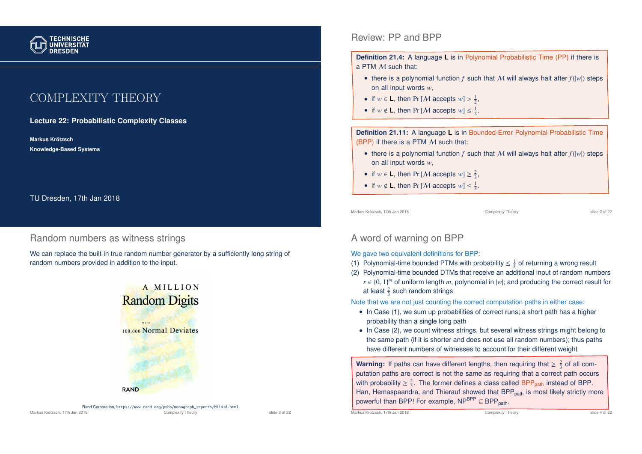

# COMPLEXITY THEORY

**Lecture 22: Probabilistic Complexity Classes**

**Markus Krotzsch ¨ Knowledge-Based Systems**

TU Dresden, 17th Jan 2018

## Random numbers as witness strings

We can replace the built-in true random number generator by a sufficiently long string of random numbers provided in addition to the input.



## Review: PP and BPP

**Definition 21.4:** A language **L** is in Polynomial Probabilistic Time (PP) if there is a PTM M such that:

- there is a polynomial function  $f$  such that  $M$  will always halt after  $f(|w|)$  steps on all input words *w*,
- if  $w \in L$ , then Pr [*M* accepts  $w$ ] >  $\frac{1}{2}$ ,
- if  $w \notin L$ , then Pr [*M* accepts  $w \leq \frac{1}{2}$ .

**Definition 21.11:** A language **L** is in Bounded-Error Polynomial Probabilistic Time (BPP) if there is a PTM  $M$  such that:

- there is a polynomial function  $f$  such that M will always halt after  $f(|w|)$  steps on all input words *w*,
- if  $w \in L$ , then Pr [*M* accepts  $w \geq \frac{2}{3}$ ,
- if  $w \notin L$ , then Pr [*M* accepts  $w \leq \frac{1}{3}$ .

Markus Krötzsch, 17th Jan 2018 Complexity Theory Complexity Theory Slide 2 of 22

# A word of warning on BPP

We gave two equivalent definitions for BPP:

- (1) Polynomial-time bounded PTMs with probability  $\leq \frac{1}{3}$  of returning a wrong result
- (2) Polynomial-time bounded DTMs that receive an additional input of random numbers  $r \in \{0, 1\}^m$  of uniform length *m*, polynomial in  $|w|$ ; and producing the correct result for at least  $\frac{2}{3}$  such random strings

Note that we are not just counting the correct computation paths in either case:

- In Case (1), we sum up probabilities of correct runs; a short path has a higher probability than a single long path
- In Case (2), we count witness strings, but several witness strings might belong to the same path (if it is shorter and does not use all random numbers); thus paths have different numbers of witnesses to account for their different weight

**Warning:** If paths can have different lengths, then requiring that  $\geq \frac{2}{3}$  of all computation paths are correct is not the same as requiring that a correct path occurs with probability  $\geq \frac{2}{3}$ . The former defines a class called BPP<sub>path</sub> instead of BPP. Han, Hemaspaandra, and Thierauf showed that BPP<sub>path</sub> is most likely strictly more powerful than BPP! For example,  $NP^{BPP} \subseteq BPP_{path}$ .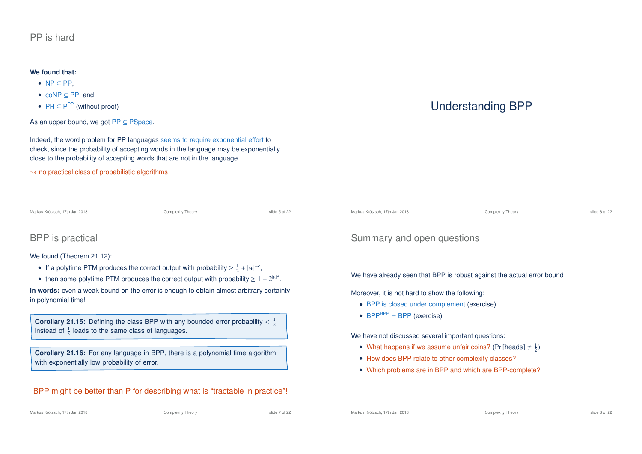## PP is hard

### **We found that:**

- NP ⊆ PP,
- coNP ⊆ PP, and
- $PH \subseteq P^{PP}$  (without proof)

As an upper bound, we got  $PP \subseteq PSpace$ .

Indeed, the word problem for PP languages seems to require exponential effort to check, since the probability of accepting words in the language may be exponentially close to the probability of accepting words that are not in the language.

 $\rightarrow$  no practical class of probabilistic algorithms

Complexity Theory **Complexity Theory** Slide 5 of 22

## BPP is practical

### We found (Theorem 21.12):

- If a polytime PTM produces the correct output with probability  $\geq \frac{1}{2} + |w|^{-c}$ ,
- then some polytime PTM produces the correct output with probability  $\geq 1 2^{|w|^d}$ .

**In words:** even a weak bound on the error is enough to obtain almost arbitrary certainty in polynomial time!

**Corollary 21.15:** Defining the class BPP with any bounded error probability  $\langle \frac{1}{2} \rangle$ instead of  $\frac{1}{3}$  leads to the same class of languages.

**Corollary 21.16:** For any language in BPP, there is a polynomial time algorithm with exponentially low probability of error.

## BPP might be better than P for describing what is "tractable in practice"!

# Understanding BPP

Complexity Theory **Complexity Theory** Slide 6 of 22

## Summary and open questions

We have already seen that BPP is robust against the actual error bound

Moreover, it is not hard to show the following:

- BPP is closed under complement (exercise)
- $BPP^{BPP} = BPP$  (exercise)

We have not discussed several important questions:

- What happens if we assume unfair coins? (Pr [heads]  $\neq \frac{1}{2}$ )
- How does BPP relate to other complexity classes?
- Which problems are in BPP and which are BPP-complete?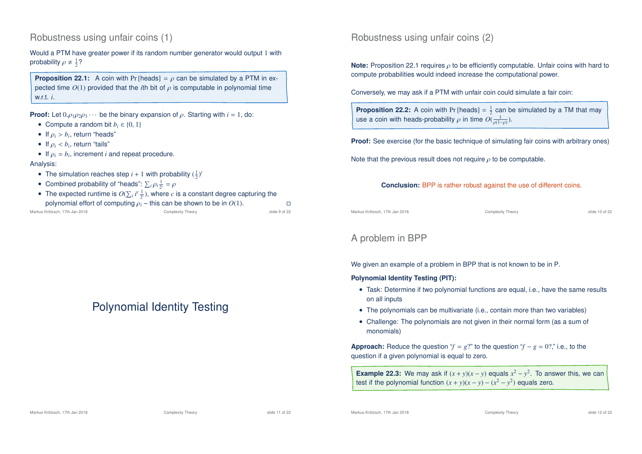## Robustness using unfair coins (1)

Would a PTM have greater power if its random number generator would output 1 with probability  $\rho \neq \frac{1}{2}$ ?

**Proposition 22.1:** A coin with Pr [heads] =  $\rho$  can be simulated by a PTM in expected time  $O(1)$  provided that the *i*th bit of  $\rho$  is computable in polynomial time w.r.t. *i*.

**Proof:** Let  $0. \rho_1 \rho_2 \rho_3 \cdots$  be the binary expansion of  $\rho$ . Starting with  $i = 1$ , do:

- Compute a random bit  $b_i \in \{0, 1\}$
- If  $\rho_i > b_i$ , return "heads"
- If  $\rho_i < b_i$ , return "tails"
- If  $\rho_i = b_i$ , increment *i* and repeat procedure.

#### Analysis:

- The simulation reaches step  $i + 1$  with probability  $(\frac{1}{2})^i$
- Combined probability of "heads":  $\sum_i \rho_i \frac{1}{2^i} = \rho$
- The expected runtime is  $O(\sum_i i^c \frac{1}{2^i})$ , where *c* is a constant degree capturing the polynomial effort of computing  $\rho_i$  – this can be shown to be in  $O(1)$ .

| Markus Krötzsch. 17th Jan 2018 | Complexity Theory | slide 9 of 22 |
|--------------------------------|-------------------|---------------|

# Polynomial Identity Testing

## Robustness using unfair coins (2)

**Note:** Proposition 22.1 requires *ρ* to be efficiently computable. Unfair coins with hard to compute probabilities would indeed increase the computational power.

Conversely, we may ask if a PTM with unfair coin could simulate a fair coin:

**Proposition 22.2:** A coin with Pr [heads]  $=$   $\frac{1}{2}$  can be simulated by a TM that may use a coin with heads-probability  $\rho$  in time  $O(\frac{1}{\rho(1-\rho)}).$ 

**Proof:** See exercise (for the basic technique of simulating fair coins with arbitrary ones)

Note that the previous result does not require  $\rho$  to be computable.

**Conclusion:** BPP is rather robust against the use of different coins.

Markus Krötzsch, 17th Jan 2018 Complexity Theory slide 10 of 22

## A problem in BPP

We given an example of a problem in BPP that is not known to be in P.

### **Polynomial Identity Testing (PIT):**

- Task: Determine if two polynomial functions are equal, i.e., have the same results on all inputs
- The polynomials can be multivariate (i.e., contain more than two variables)
- Challenge: The polynomials are not given in their normal form (as a sum of monomials)

**Approach:** Reduce the question " $f = g$ ?" to the question " $f - g = 0$ ?" i.e., to the question if a given polynomial is equal to zero.

**Example 22.3:** We may ask if  $(x + y)(x - y)$  equals  $x^2 - y^2$ . To answer this, we can test if the polynomial function  $(x + y)(x - y) - (x^2 - y^2)$  equals zero.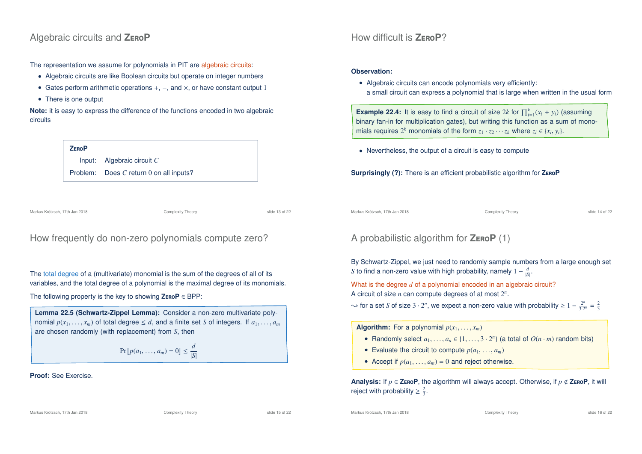## Algebraic circuits and **Z**ero**P**

The representation we assume for polynomials in PIT are algebraic circuits:

- Algebraic circuits are like Boolean circuits but operate on integer numbers
- Gates perform arithmetic operations +, −, and ×, or have constant output 1
- There is one output

**Note:** it is easy to express the difference of the functions encoded in two algebraic circuits

# **Z**ero**P** Input: Algebraic circuit *C* Problem: Does *C* return 0 on all inputs?

Markus Krötzsch, 17th Jan 2018 Complexity Theory slide 13 of 22

How frequently do non-zero polynomials compute zero?

The total degree of a (multivariate) monomial is the sum of the degrees of all of its variables, and the total degree of a polynomial is the maximal degree of its monomials.

The following property is the key to showing **Z**ero**P** ∈ BPP:

**Lemma 22.5 (Schwartz-Zippel Lemma):** Consider a non-zero multivariate polynomial  $p(x_1, \ldots, x_m)$  of total degree  $\leq d$ , and a finite set *S* of integers. If  $a_1, \ldots, a_m$ are chosen randomly (with replacement) from *S*, then

$$
\Pr\left[p(a_1,\ldots,a_m)=0\right]\leq \frac{d}{|S|}
$$

### **Proof:** See Exercise.

How difficult is **Z**ero**P**?

### **Observation:**

• Algebraic circuits can encode polynomials very efficiently: a small circuit can express a polynomial that is large when written in the usual form

**Example 22.4:** It is easy to find a circuit of size 2*k* for  $\prod_{i=1}^{k} (x_i + y_i)$  (assuming binary fan-in for multiplication gates), but writing this function as a sum of monomials requires  $2^k$  monomials of the form  $z_1 \cdot z_2 \cdots z_k$  where  $z_i \in \{x_i, y_i\}$ .

• Nevertheless, the output of a circuit is easy to compute

**Surprisingly (?):** There is an efficient probabilistic algorithm for **Z**ero**P**

Markus Krötzsch, 17th Jan 2018 Complexity Theory slide 14 of 22

# A probabilistic algorithm for **Z**ero**P** (1)

By Schwartz-Zippel, we just need to randomly sample numbers from a large enough set *S* to find a non-zero value with high probability, namely  $1 - \frac{d}{|\mathcal{S}|}$ .

What is the degree *d* of a polynomial encoded in an algebraic circuit? A circuit of size *n* can compute degrees of at most 2 *n* .

 $\rightarrow$  for a set *S* of size 3 · 2<sup>n</sup>, we expect a non-zero value with probability  $\geq 1 - \frac{2^n}{3 \cdot 2^n} = \frac{2}{3}$ 

**Algorithm:** For a polynomial  $p(x_1, \ldots, x_m)$ 

- Randomly select  $a_1, \ldots, a_n \in \{1, \ldots, 3 \cdot 2^n\}$  (a total of  $O(n \cdot m)$  random bits)
- Evaluate the circuit to compute  $p(a_1, \ldots, a_m)$
- Accept if  $p(a_1, \ldots, a_m) = 0$  and reject otherwise.

**Analysis:** If  $p \in \textsf{ZeroP}$ , the algorithm will always accept. Otherwise, if  $p \notin \textsf{ZeroP}$ , it will reject with probability  $\geq \frac{2}{3}$ .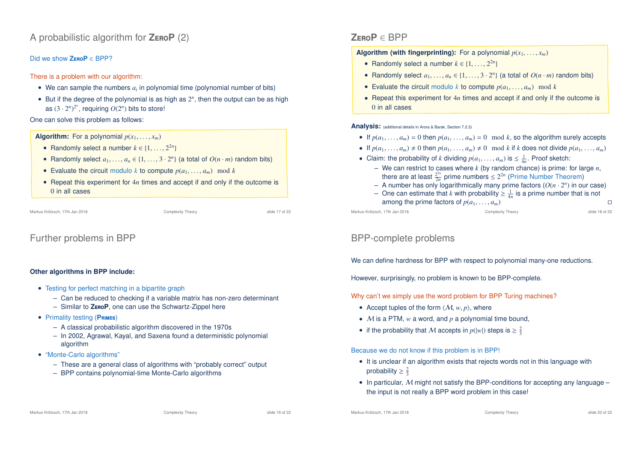# A probabilistic algorithm for **Z**ero**P** (2)

### Did we show **Z**ero**P** ∈ BPP?

There is a problem with our algorithm:

- We can sample the numbers  $a_i$  in polynomial time (polynomial number of bits)
- $\bullet$  But if the degree of the polynomial is as high as  $2^n$ , then the output can be as high as  $(3 \cdot 2^n)^{2^n}$ , requiring  $O(2^n)$  bits to store!

One can solve this problem as follows:

### **Algorithm:** For a polynomial  $p(x_1, \ldots, x_m)$

- Randomly select a number  $k \in \{1, \ldots, 2^{2n}\}\$
- Randomly select  $a_1, \ldots, a_n \in \{1, \ldots, 3 \cdot 2^n\}$  (a total of  $O(n \cdot m)$  random bits)
- Evaluate the circuit modulo *k* to compute  $p(a_1, \ldots, a_m) \mod k$
- Repeat this experiment for 4*n* times and accept if and only if the outcome is 0 in all cases

```
Markus Krötzsch, 17th Jan 2018 Complexity Theory slide 17 of 22
```
# Further problems in BPP

### **Other algorithms in BPP include:**

- Testing for perfect matching in a bipartite graph
	- Can be reduced to checking if a variable matrix has non-zero determinant
	- Similar to **Z**ero**P**, one can use the Schwartz-Zippel here
- Primality testing (**P**rimes)
	- A classical probabilistic algorithm discovered in the 1970s
	- In 2002, Agrawal, Kayal, and Saxena found a deterministic polynomial algorithm
- "Monte-Carlo algorithms"
	- These are a general class of algorithms with "probably correct" output
	- BPP contains polynomial-time Monte-Carlo algorithms

# **Z**ero**P** ∈ BPP

**Algorithm (with fingerprinting):** For a polynomial  $p(x_1, \ldots, x_m)$ 

- Randomly select a number  $k \in \{1, \ldots, 2^{2n}\}\$
- Randomly select  $a_1, \ldots, a_n \in \{1, \ldots, 3 \cdot 2^n\}$  (a total of  $O(n \cdot m)$  random bits)
- Evaluate the circuit modulo *k* to compute  $p(a_1, \ldots, a_m) \mod k$
- Repeat this experiment for 4*n* times and accept if and only if the outcome is 0 in all cases

**Analysis:** (additional details in Arora & Barak, Section 7.2.3)

- If  $p(a_1, \ldots, a_m) = 0$  then  $p(a_1, \ldots, a_m) = 0 \mod k$ , so the algorithm surely accepts
- If  $p(a_1, \ldots, a_m) \neq 0$  then  $p(a_1, \ldots, a_m) \neq 0 \mod k$  if *k* does not divide  $p(a_1, \ldots, a_m)$
- Claim: the probability of *k* dividing  $p(a_1, \ldots, a_m)$  is  $\leq \frac{1}{4n}$ . Proof sketch:
	- We can restrict to cases where *k* (by random chance) is prime: for large *n*, there are at least  $\frac{2^{2n}}{2n}$  prime numbers  $\leq 2^{2n}$  (Prime Number Theorem)
	- A number has only logarithmically many prime factors  $(O(n \cdot 2^n))$  in our case)
	- $−$  One can estimate that *k* with probability  $\geq \frac{1}{4n}$  is a prime number that is not among the prime factors of  $p(a_1, \ldots, a_m)$ <br>
	Complexity Theory<br>
	Complexity Theory<br>
	Slide 18 of 22

Markus Krötzsch, 17th Jan 2018 Complexity Theory slide 18 of 22

# BPP-complete problems

We can define hardness for BPP with respect to polynomial many-one reductions.

However, surprisingly, no problem is known to be BPP-complete.

Why can't we simply use the word problem for BPP Turing machines?

- Accept tuples of the form  $\langle M, w, p \rangle$ , where
- M is a PTM, *w* a word, and *p* a polynomial time bound,
- if the probability that M accepts in  $p(|w|)$  steps is  $\geq \frac{2}{3}$

### Because we do not know if this problem is in BPP!

- It is unclear if an algorithm exists that rejects words not in this language with probability  $\geq \frac{2}{3}$
- In particular,  $M$  might not satisfy the BPP-conditions for accepting any language the input is not really a BPP word problem in this case!